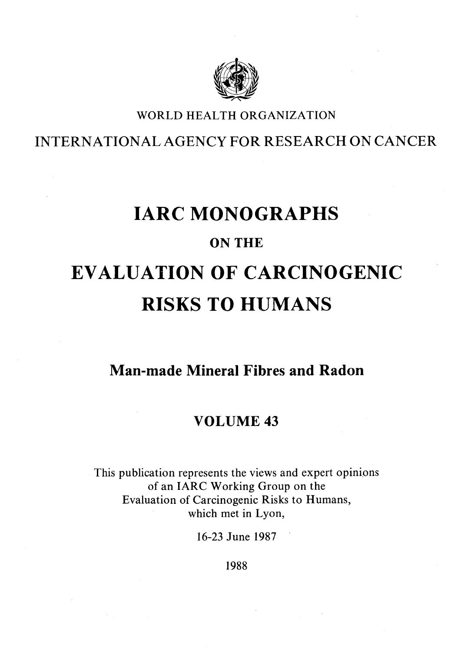

### WORLD HEALTH ORGANIZATION

INTERNATIONAL AGENCY FOR RESEARCH ON CANCER

## IARC MONOGRAPHS

## ON THE

# EVALUATION OF CARCINOGENIC RISKS TO HUMANS

## Man-made Mineral Fibres and Radon

## VOLUME 43

This publication represents the views and expert opinions of an IARC Working Group on the Evaluation of Carcinogenic Risks to Humans, which met in Lyon,

16-23 June 1987

1988